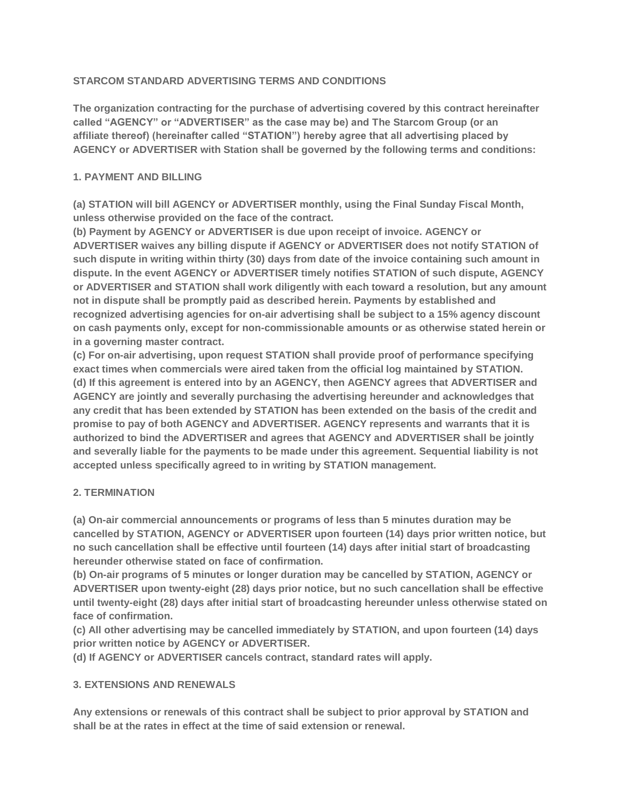# **STARCOM STANDARD ADVERTISING TERMS AND CONDITIONS**

**The organization contracting for the purchase of advertising covered by this contract hereinafter called "AGENCY" or "ADVERTISER" as the case may be) and The Starcom Group (or an affiliate thereof) (hereinafter called "STATION") hereby agree that all advertising placed by AGENCY or ADVERTISER with Station shall be governed by the following terms and conditions:**

# **1. PAYMENT AND BILLING**

**(a) STATION will bill AGENCY or ADVERTISER monthly, using the Final Sunday Fiscal Month, unless otherwise provided on the face of the contract.**

**(b) Payment by AGENCY or ADVERTISER is due upon receipt of invoice. AGENCY or ADVERTISER waives any billing dispute if AGENCY or ADVERTISER does not notify STATION of such dispute in writing within thirty (30) days from date of the invoice containing such amount in dispute. In the event AGENCY or ADVERTISER timely notifies STATION of such dispute, AGENCY or ADVERTISER and STATION shall work diligently with each toward a resolution, but any amount not in dispute shall be promptly paid as described herein. Payments by established and recognized advertising agencies for on-air advertising shall be subject to a 15% agency discount on cash payments only, except for non-commissionable amounts or as otherwise stated herein or in a governing master contract.**

**(c) For on-air advertising, upon request STATION shall provide proof of performance specifying exact times when commercials were aired taken from the official log maintained by STATION. (d) If this agreement is entered into by an AGENCY, then AGENCY agrees that ADVERTISER and AGENCY are jointly and severally purchasing the advertising hereunder and acknowledges that any credit that has been extended by STATION has been extended on the basis of the credit and promise to pay of both AGENCY and ADVERTISER. AGENCY represents and warrants that it is authorized to bind the ADVERTISER and agrees that AGENCY and ADVERTISER shall be jointly and severally liable for the payments to be made under this agreement. Sequential liability is not accepted unless specifically agreed to in writing by STATION management.**

### **2. TERMINATION**

**(a) On-air commercial announcements or programs of less than 5 minutes duration may be cancelled by STATION, AGENCY or ADVERTISER upon fourteen (14) days prior written notice, but no such cancellation shall be effective until fourteen (14) days after initial start of broadcasting hereunder otherwise stated on face of confirmation.**

**(b) On-air programs of 5 minutes or longer duration may be cancelled by STATION, AGENCY or ADVERTISER upon twenty-eight (28) days prior notice, but no such cancellation shall be effective until twenty-eight (28) days after initial start of broadcasting hereunder unless otherwise stated on face of confirmation.**

**(c) All other advertising may be cancelled immediately by STATION, and upon fourteen (14) days prior written notice by AGENCY or ADVERTISER.**

**(d) If AGENCY or ADVERTISER cancels contract, standard rates will apply.**

# **3. EXTENSIONS AND RENEWALS**

**Any extensions or renewals of this contract shall be subject to prior approval by STATION and shall be at the rates in effect at the time of said extension or renewal.**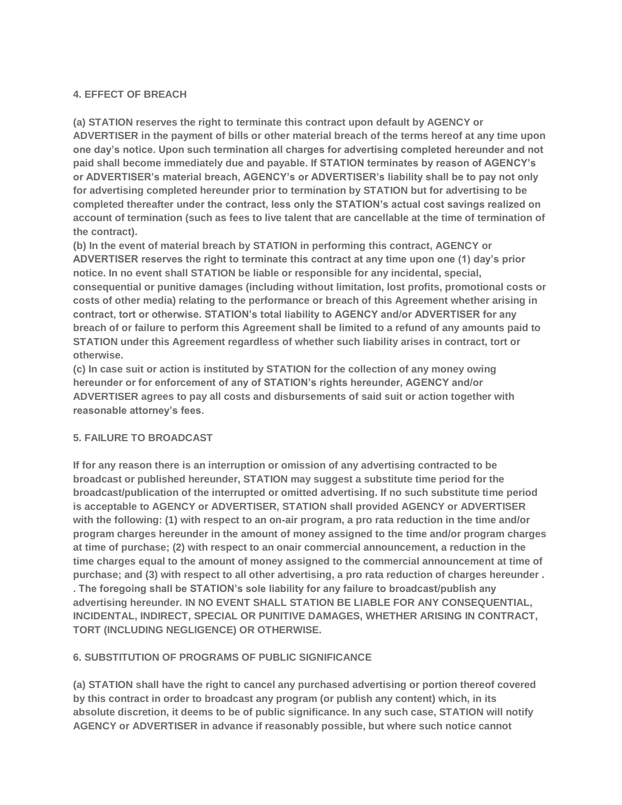## **4. EFFECT OF BREACH**

**(a) STATION reserves the right to terminate this contract upon default by AGENCY or ADVERTISER in the payment of bills or other material breach of the terms hereof at any time upon one day's notice. Upon such termination all charges for advertising completed hereunder and not paid shall become immediately due and payable. If STATION terminates by reason of AGENCY's or ADVERTISER's material breach, AGENCY's or ADVERTISER's liability shall be to pay not only for advertising completed hereunder prior to termination by STATION but for advertising to be completed thereafter under the contract, less only the STATION's actual cost savings realized on account of termination (such as fees to live talent that are cancellable at the time of termination of the contract).**

**(b) In the event of material breach by STATION in performing this contract, AGENCY or ADVERTISER reserves the right to terminate this contract at any time upon one (1) day's prior notice. In no event shall STATION be liable or responsible for any incidental, special, consequential or punitive damages (including without limitation, lost profits, promotional costs or costs of other media) relating to the performance or breach of this Agreement whether arising in contract, tort or otherwise. STATION's total liability to AGENCY and/or ADVERTISER for any breach of or failure to perform this Agreement shall be limited to a refund of any amounts paid to STATION under this Agreement regardless of whether such liability arises in contract, tort or otherwise.**

**(c) In case suit or action is instituted by STATION for the collection of any money owing hereunder or for enforcement of any of STATION's rights hereunder, AGENCY and/or ADVERTISER agrees to pay all costs and disbursements of said suit or action together with reasonable attorney's fees.**

### **5. FAILURE TO BROADCAST**

**If for any reason there is an interruption or omission of any advertising contracted to be broadcast or published hereunder, STATION may suggest a substitute time period for the broadcast/publication of the interrupted or omitted advertising. If no such substitute time period is acceptable to AGENCY or ADVERTISER, STATION shall provided AGENCY or ADVERTISER with the following: (1) with respect to an on-air program, a pro rata reduction in the time and/or program charges hereunder in the amount of money assigned to the time and/or program charges at time of purchase; (2) with respect to an onair commercial announcement, a reduction in the time charges equal to the amount of money assigned to the commercial announcement at time of purchase; and (3) with respect to all other advertising, a pro rata reduction of charges hereunder . . The foregoing shall be STATION's sole liability for any failure to broadcast/publish any advertising hereunder. IN NO EVENT SHALL STATION BE LIABLE FOR ANY CONSEQUENTIAL, INCIDENTAL, INDIRECT, SPECIAL OR PUNITIVE DAMAGES, WHETHER ARISING IN CONTRACT, TORT (INCLUDING NEGLIGENCE) OR OTHERWISE.**

### **6. SUBSTITUTION OF PROGRAMS OF PUBLIC SIGNIFICANCE**

**(a) STATION shall have the right to cancel any purchased advertising or portion thereof covered by this contract in order to broadcast any program (or publish any content) which, in its absolute discretion, it deems to be of public significance. In any such case, STATION will notify AGENCY or ADVERTISER in advance if reasonably possible, but where such notice cannot**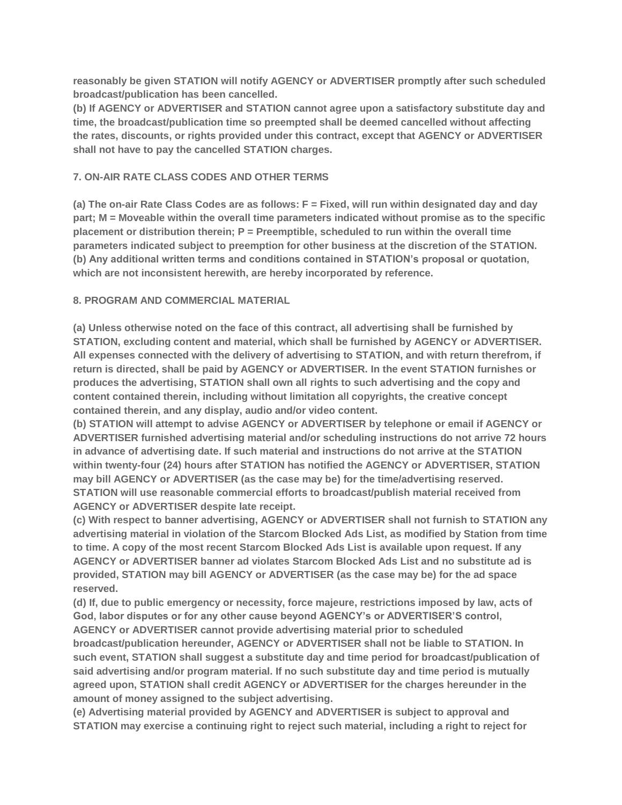**reasonably be given STATION will notify AGENCY or ADVERTISER promptly after such scheduled broadcast/publication has been cancelled.**

**(b) If AGENCY or ADVERTISER and STATION cannot agree upon a satisfactory substitute day and time, the broadcast/publication time so preempted shall be deemed cancelled without affecting the rates, discounts, or rights provided under this contract, except that AGENCY or ADVERTISER shall not have to pay the cancelled STATION charges.**

#### **7. ON-AIR RATE CLASS CODES AND OTHER TERMS**

**(a) The on-air Rate Class Codes are as follows: F = Fixed, will run within designated day and day part; M = Moveable within the overall time parameters indicated without promise as to the specific placement or distribution therein; P = Preemptible, scheduled to run within the overall time parameters indicated subject to preemption for other business at the discretion of the STATION. (b) Any additional written terms and conditions contained in STATION's proposal or quotation, which are not inconsistent herewith, are hereby incorporated by reference.**

#### **8. PROGRAM AND COMMERCIAL MATERIAL**

**(a) Unless otherwise noted on the face of this contract, all advertising shall be furnished by STATION, excluding content and material, which shall be furnished by AGENCY or ADVERTISER. All expenses connected with the delivery of advertising to STATION, and with return therefrom, if return is directed, shall be paid by AGENCY or ADVERTISER. In the event STATION furnishes or produces the advertising, STATION shall own all rights to such advertising and the copy and content contained therein, including without limitation all copyrights, the creative concept contained therein, and any display, audio and/or video content.**

**(b) STATION will attempt to advise AGENCY or ADVERTISER by telephone or email if AGENCY or ADVERTISER furnished advertising material and/or scheduling instructions do not arrive 72 hours in advance of advertising date. If such material and instructions do not arrive at the STATION within twenty-four (24) hours after STATION has notified the AGENCY or ADVERTISER, STATION may bill AGENCY or ADVERTISER (as the case may be) for the time/advertising reserved. STATION will use reasonable commercial efforts to broadcast/publish material received from AGENCY or ADVERTISER despite late receipt.**

**(c) With respect to banner advertising, AGENCY or ADVERTISER shall not furnish to STATION any advertising material in violation of the Starcom Blocked Ads List, as modified by Station from time to time. A copy of the most recent Starcom Blocked Ads List is available upon request. If any AGENCY or ADVERTISER banner ad violates Starcom Blocked Ads List and no substitute ad is provided, STATION may bill AGENCY or ADVERTISER (as the case may be) for the ad space reserved.**

**(d) If, due to public emergency or necessity, force majeure, restrictions imposed by law, acts of God, labor disputes or for any other cause beyond AGENCY's or ADVERTISER'S control, AGENCY or ADVERTISER cannot provide advertising material prior to scheduled broadcast/publication hereunder, AGENCY or ADVERTISER shall not be liable to STATION. In such event, STATION shall suggest a substitute day and time period for broadcast/publication of said advertising and/or program material. If no such substitute day and time period is mutually agreed upon, STATION shall credit AGENCY or ADVERTISER for the charges hereunder in the amount of money assigned to the subject advertising.**

**(e) Advertising material provided by AGENCY and ADVERTISER is subject to approval and STATION may exercise a continuing right to reject such material, including a right to reject for**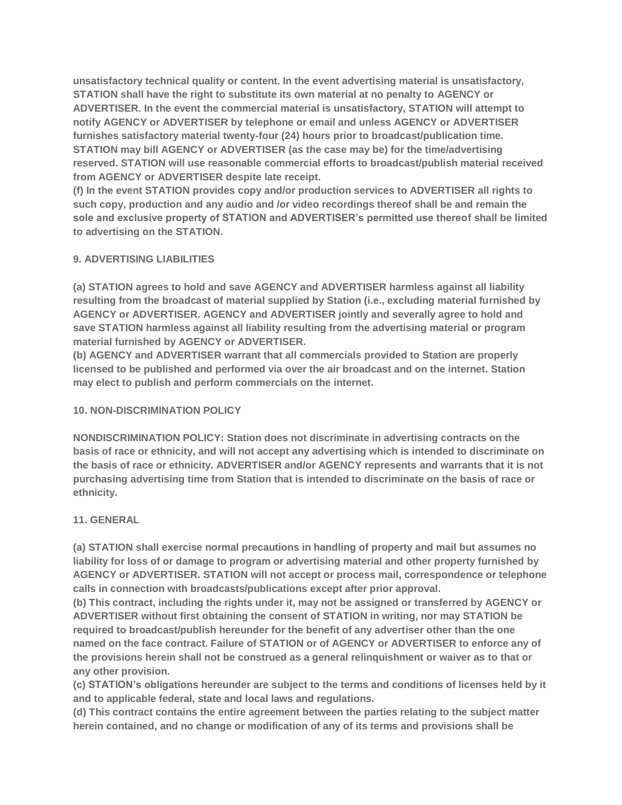**unsatisfactory technical quality or content. In the event advertising material is unsatisfactory, STATION shall have the right to substitute its own material at no penalty to AGENCY or ADVERTISER. In the event the commercial material is unsatisfactory, STATION will attempt to notify AGENCY or ADVERTISER by telephone or email and unless AGENCY or ADVERTISER furnishes satisfactory material twenty-four (24) hours prior to broadcast/publication time. STATION may bill AGENCY or ADVERTISER (as the case may be) for the time/advertising reserved. STATION will use reasonable commercial efforts to broadcast/publish material received from AGENCY or ADVERTISER despite late receipt.**

**(f) In the event STATION provides copy and/or production services to ADVERTISER all rights to such copy, production and any audio and /or video recordings thereof shall be and remain the sole and exclusive property of STATION and ADVERTISER's permitted use thereof shall be limited to advertising on the STATION.**

## **9. ADVERTISING LIABILITIES**

**(a) STATION agrees to hold and save AGENCY and ADVERTISER harmless against all liability resulting from the broadcast of material supplied by Station (i.e., excluding material furnished by AGENCY or ADVERTISER. AGENCY and ADVERTISER jointly and severally agree to hold and save STATION harmless against all liability resulting from the advertising material or program material furnished by AGENCY or ADVERTISER.**

**(b) AGENCY and ADVERTISER warrant that all commercials provided to Station are properly licensed to be published and performed via over the air broadcast and on the internet. Station may elect to publish and perform commercials on the internet.**

### **10. NON-DISCRIMINATION POLICY**

**NONDISCRIMINATION POLICY: Station does not discriminate in advertising contracts on the basis of race or ethnicity, and will not accept any advertising which is intended to discriminate on the basis of race or ethnicity. ADVERTISER and/or AGENCY represents and warrants that it is not purchasing advertising time from Station that is intended to discriminate on the basis of race or ethnicity.**

### **11. GENERAL**

**(a) STATION shall exercise normal precautions in handling of property and mail but assumes no liability for loss of or damage to program or advertising material and other property furnished by AGENCY or ADVERTISER. STATION will not accept or process mail, correspondence or telephone calls in connection with broadcasts/publications except after prior approval.**

**(b) This contract, including the rights under it, may not be assigned or transferred by AGENCY or ADVERTISER without first obtaining the consent of STATION in writing, nor may STATION be required to broadcast/publish hereunder for the benefit of any advertiser other than the one named on the face contract. Failure of STATION or of AGENCY or ADVERTISER to enforce any of the provisions herein shall not be construed as a general relinquishment or waiver as to that or any other provision.**

**(c) STATION's obligations hereunder are subject to the terms and conditions of licenses held by it and to applicable federal, state and local laws and regulations.**

**(d) This contract contains the entire agreement between the parties relating to the subject matter herein contained, and no change or modification of any of its terms and provisions shall be**